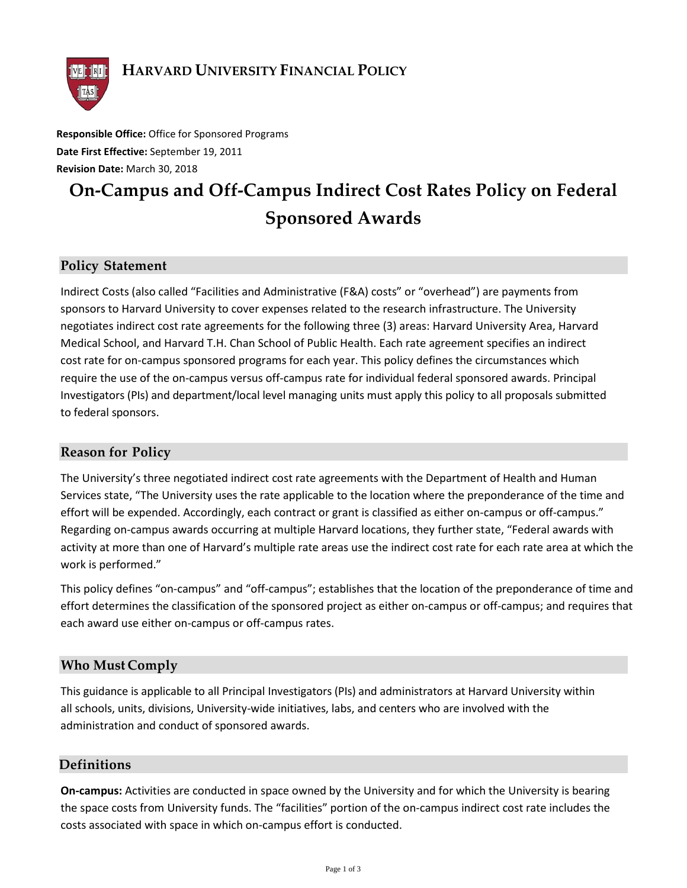

**Responsible Office:** Office for Sponsored Programs **Date First Effective:** September 19, 2011 **Revision Date:** March 30, 2018

# **On-Campus and Off-Campus Indirect Cost Rates Policy on Federal Sponsored Awards**

# **Policy Statement**

Indirect Costs (also called "Facilities and Administrative (F&A) costs" or "overhead") are payments from sponsors to Harvard University to cover expenses related to the research infrastructure. The University negotiates indirect cost rate agreements for the following three (3) areas: Harvard University Area, Harvard Medical School, and Harvard T.H. Chan School of Public Health. Each rate agreement specifies an indirect cost rate for on-campus sponsored programs for each year. This policy defines the circumstances which require the use of the on-campus versus off-campus rate for individual federal sponsored awards. Principal Investigators (PIs) and department/local level managing units must apply this policy to all proposals submitted to federal sponsors.

## **Reason for Policy**

The University's three negotiated indirect cost rate agreements with the Department of Health and Human Services state, "The University uses the rate applicable to the location where the preponderance of the time and effort will be expended. Accordingly, each contract or grant is classified as either on-campus or off-campus." Regarding on-campus awards occurring at multiple Harvard locations, they further state, "Federal awards with activity at more than one of Harvard's multiple rate areas use the indirect cost rate for each rate area at which the work is performed."

This policy defines "on-campus" and "off-campus"; establishes that the location of the preponderance of time and effort determines the classification of the sponsored project as either on-campus or off-campus; and requires that each award use either on-campus or off-campus rates.

## **Who Must Comply**

This guidance is applicable to all Principal Investigators (PIs) and administrators at Harvard University within all schools, units, divisions, University-wide initiatives, labs, and centers who are involved with the administration and conduct of sponsored awards.

## **Definitions**

**On‐campus:** Activities are conducted in space owned by the University and for which the University is bearing the space costs from University funds. The "facilities" portion of the on-campus indirect cost rate includes the costs associated with space in which on-campus effort is conducted.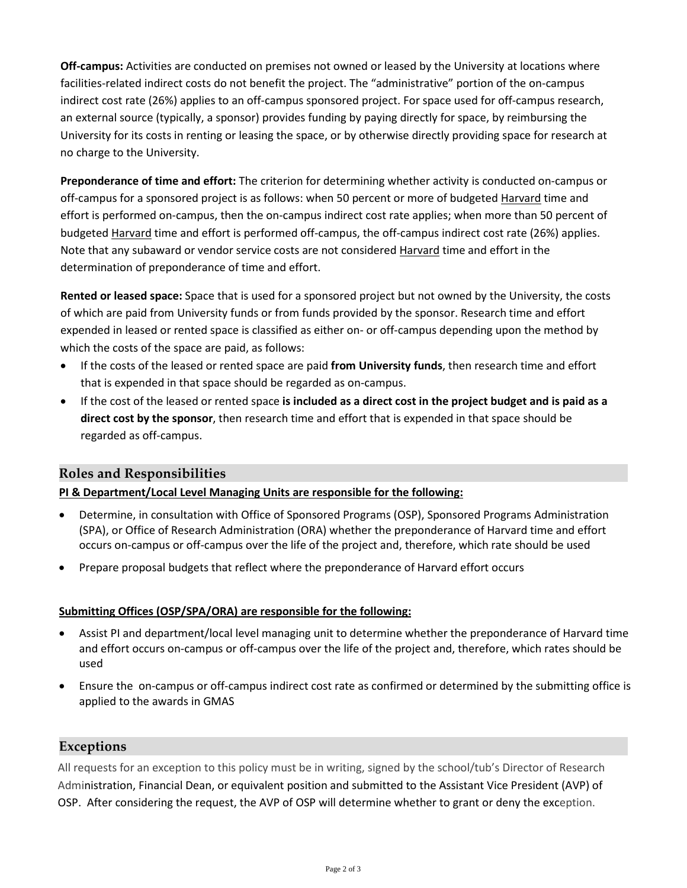**Off-campus:** Activities are conducted on premises not owned or leased by the University at locations where facilities-related indirect costs do not benefit the project. The "administrative" portion of the on-campus indirect cost rate (26%) applies to an off-campus sponsored project. For space used for off-campus research, an external source (typically, a sponsor) provides funding by paying directly for space, by reimbursing the University for its costs in renting or leasing the space, or by otherwise directly providing space for research at no charge to the University.

**Preponderance of time and effort:** The criterion for determining whether activity is conducted on-campus or off-campus for a sponsored project is as follows: when 50 percent or more of budgeted Harvard time and effort is performed on-campus, then the on-campus indirect cost rate applies; when more than 50 percent of budgeted Harvard time and effort is performed off-campus, the off-campus indirect cost rate (26%) applies. Note that any subaward or vendor service costs are not considered Harvard time and effort in the determination of preponderance of time and effort.

**Rented or leased space:** Space that is used for a sponsored project but not owned by the University, the costs of which are paid from University funds or from funds provided by the sponsor. Research time and effort expended in leased or rented space is classified as either on- or off-campus depending upon the method by which the costs of the space are paid, as follows:

- If the costs of the leased or rented space are paid **from University funds**, then research time and effort that is expended in that space should be regarded as on-campus.
- If the cost of the leased or rented space **is included as a direct cost in the project budget and is paid as a direct cost by the sponsor**, then research time and effort that is expended in that space should be regarded as off-campus.

## **Roles and Responsibilities**

#### **PI & Department/Local Level Managing Units are responsible for the following:**

- Determine, in consultation with Office of Sponsored Programs (OSP), Sponsored Programs Administration (SPA), or Office of Research Administration (ORA) whether the preponderance of Harvard time and effort occurs on-campus or off-campus over the life of the project and, therefore, which rate should be used
- Prepare proposal budgets that reflect where the preponderance of Harvard effort occurs

#### **Submitting Offices (OSP/SPA/ORA) are responsible for the following:**

- Assist PI and department/local level managing unit to determine whether the preponderance of Harvard time and effort occurs on-campus or off-campus over the life of the project and, therefore, which rates should be used
- Ensure the on-campus or off-campus indirect cost rate as confirmed or determined by the submitting office is applied to the awards in GMAS

#### **Exceptions**

All requests for an exception to this policy must be in writing, signed by the school/tub's Director of Research Administration, Financial Dean, or equivalent position and submitted to the Assistant Vice President (AVP) of OSP. After considering the request, the AVP of OSP will determine whether to grant or deny the exception.